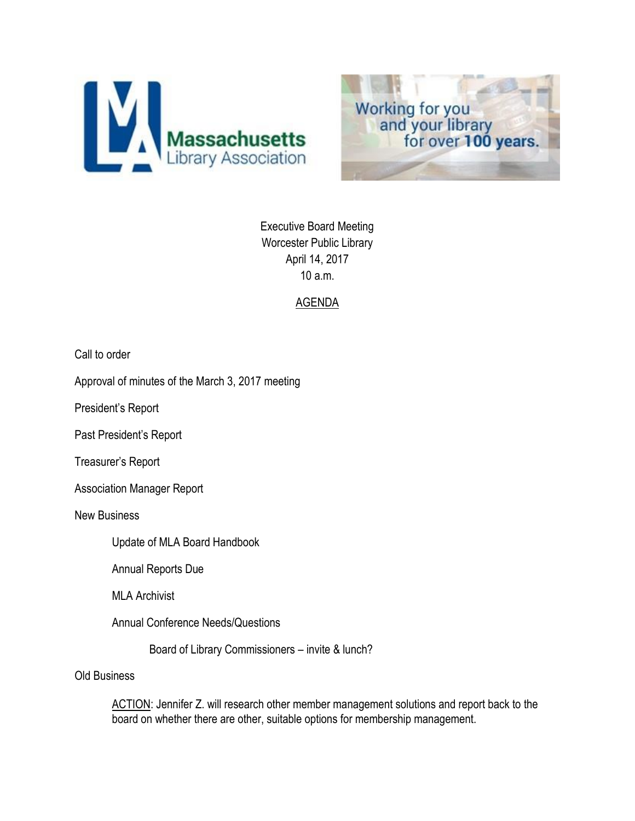



Executive Board Meeting Worcester Public Library April 14, 2017 10 a.m.

# AGENDA

Call to order

Approval of minutes of the March 3, 2017 meeting

President's Report

Past President's Report

Treasurer's Report

Association Manager Report

New Business

Update of MLA Board Handbook

Annual Reports Due

MLA Archivist

Annual Conference Needs/Questions

Board of Library Commissioners – invite & lunch?

Old Business

ACTION: Jennifer Z. will research other member management solutions and report back to the board on whether there are other, suitable options for membership management.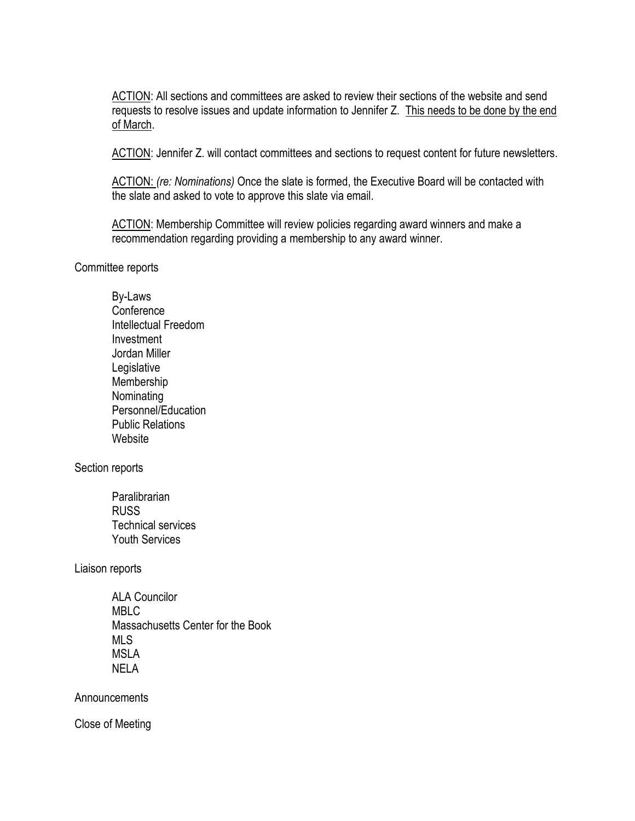ACTION: All sections and committees are asked to review their sections of the website and send requests to resolve issues and update information to Jennifer Z. This needs to be done by the end of March.

ACTION: Jennifer Z. will contact committees and sections to request content for future newsletters.

ACTION: *(re: Nominations)* Once the slate is formed, the Executive Board will be contacted with the slate and asked to vote to approve this slate via email.

ACTION: Membership Committee will review policies regarding award winners and make a recommendation regarding providing a membership to any award winner.

Committee reports

By-Laws **Conference** Intellectual Freedom Investment Jordan Miller **Legislative** Membership Nominating Personnel/Education Public Relations Website

Section reports

**Paralibrarian** RUSS Technical services Youth Services

Liaison reports

ALA Councilor MBLC Massachusetts Center for the Book MLS MSLA NELA

Announcements

Close of Meeting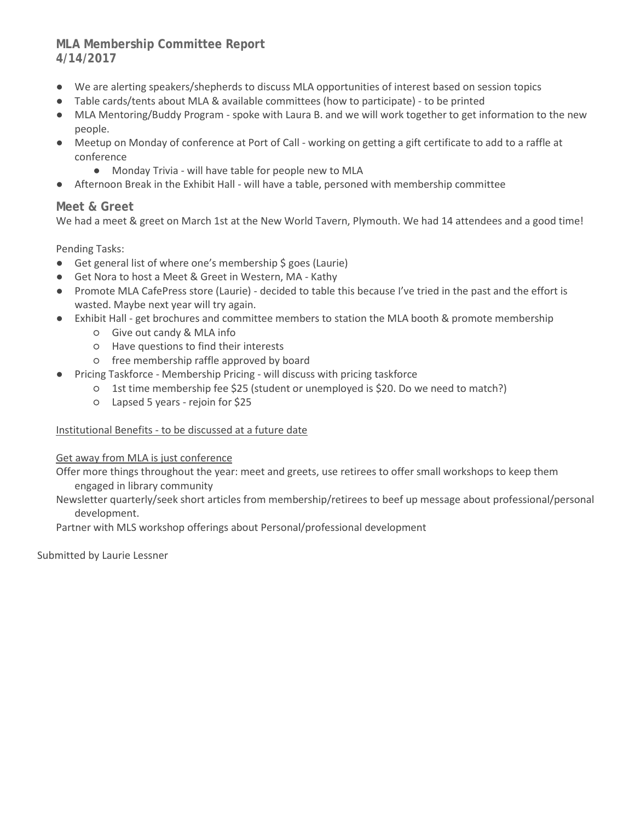# **MLA Membership Committee Report 4/14/2017**

- We are alerting speakers/shepherds to discuss MLA opportunities of interest based on session topics
- Table cards/tents about MLA & available committees (how to participate) to be printed
- MLA Mentoring/Buddy Program spoke with Laura B. and we will work together to get information to the new people.
- Meetup on Monday of conference at Port of Call working on getting a gift certificate to add to a raffle at conference
	- Monday Trivia will have table for people new to MLA
- Afternoon Break in the Exhibit Hall will have a table, personed with membership committee

#### **Meet & Greet**

We had a meet & greet on March 1st at the New World Tavern, Plymouth. We had 14 attendees and a good time!

Pending Tasks:

- Get general list of where one's membership \$ goes (Laurie)
- Get Nora to host a Meet & Greet in Western, MA Kathy
- Promote MLA CafePress store (Laurie) decided to table this because I've tried in the past and the effort is wasted. Maybe next year will try again.
- Exhibit Hall get brochures and committee members to station the MLA booth & promote membership
	- Give out candy & MLA info
	- Have questions to find their interests
	- free membership raffle approved by board
	- Pricing Taskforce Membership Pricing will discuss with pricing taskforce
		- 1st time membership fee \$25 (student or unemployed is \$20. Do we need to match?)
			- Lapsed 5 years rejoin for \$25

#### Institutional Benefits - to be discussed at a future date

#### Get away from MLA is just conference

Offer more things throughout the year: meet and greets, use retirees to offer small workshops to keep them engaged in library community

Newsletter quarterly/seek short articles from membership/retirees to beef up message about professional/personal development.

Partner with MLS workshop offerings about Personal/professional development

Submitted by Laurie Lessner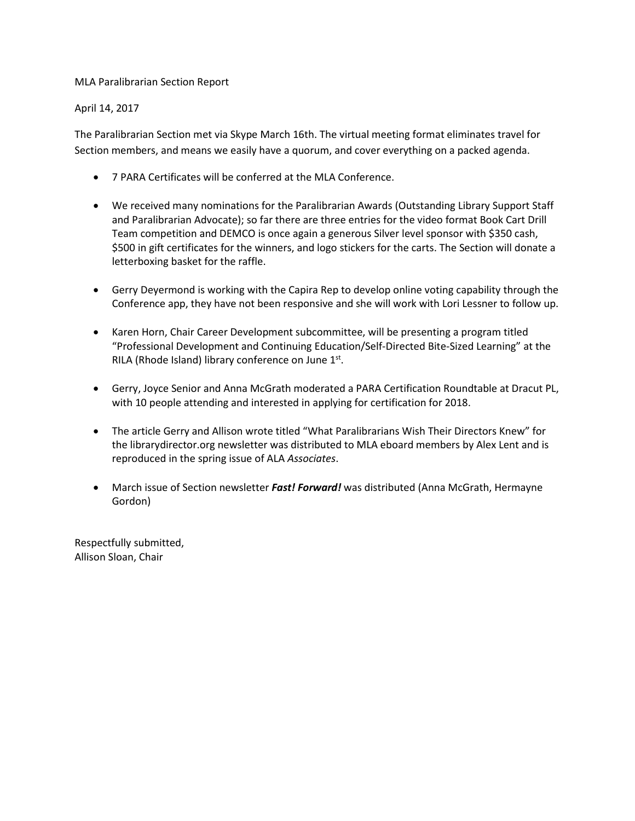#### MLA Paralibrarian Section Report

#### April 14, 2017

The Paralibrarian Section met via Skype March 16th. The virtual meeting format eliminates travel for Section members, and means we easily have a quorum, and cover everything on a packed agenda.

- 7 PARA Certificates will be conferred at the MLA Conference.
- We received many nominations for the Paralibrarian Awards (Outstanding Library Support Staff and Paralibrarian Advocate); so far there are three entries for the video format Book Cart Drill Team competition and DEMCO is once again a generous Silver level sponsor with \$350 cash, \$500 in gift certificates for the winners, and logo stickers for the carts. The Section will donate a letterboxing basket for the raffle.
- Gerry Deyermond is working with the Capira Rep to develop online voting capability through the Conference app, they have not been responsive and she will work with Lori Lessner to follow up.
- Karen Horn, Chair Career Development subcommittee, will be presenting a program titled "Professional Development and Continuing Education/Self-Directed Bite-Sized Learning" at the RILA (Rhode Island) library conference on June  $1<sup>st</sup>$ .
- Gerry, Joyce Senior and Anna McGrath moderated a PARA Certification Roundtable at Dracut PL, with 10 people attending and interested in applying for certification for 2018.
- The article Gerry and Allison wrote titled "What Paralibrarians Wish Their Directors Knew" for the librarydirector.org newsletter was distributed to MLA eboard members by Alex Lent and is reproduced in the spring issue of ALA *Associates*.
- March issue of Section newsletter *Fast! Forward!* was distributed (Anna McGrath, Hermayne Gordon)

Respectfully submitted, Allison Sloan, Chair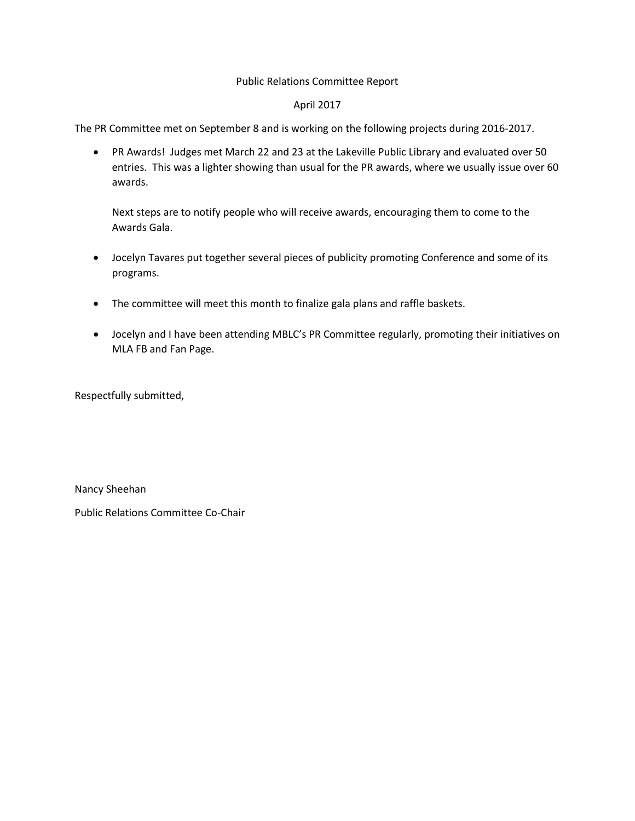#### Public Relations Committee Report

#### April 2017

The PR Committee met on September 8 and is working on the following projects during 2016-2017.

• PR Awards! Judges met March 22 and 23 at the Lakeville Public Library and evaluated over 50 entries. This was a lighter showing than usual for the PR awards, where we usually issue over 60 awards.

Next steps are to notify people who will receive awards, encouraging them to come to the Awards Gala.

- Jocelyn Tavares put together several pieces of publicity promoting Conference and some of its programs.
- The committee will meet this month to finalize gala plans and raffle baskets.
- Jocelyn and I have been attending MBLC's PR Committee regularly, promoting their initiatives on MLA FB and Fan Page.

Respectfully submitted,

Nancy Sheehan

Public Relations Committee Co-Chair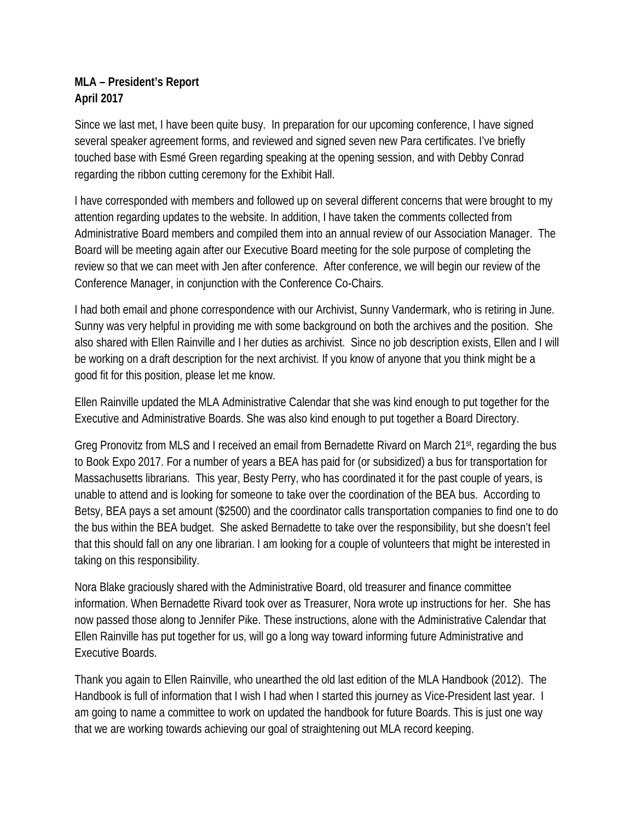# **MLA – President's Report April 2017**

Since we last met, I have been quite busy. In preparation for our upcoming conference, I have signed several speaker agreement forms, and reviewed and signed seven new Para certificates. I've briefly touched base with Esmé Green regarding speaking at the opening session, and with Debby Conrad regarding the ribbon cutting ceremony for the Exhibit Hall.

I have corresponded with members and followed up on several different concerns that were brought to my attention regarding updates to the website. In addition, I have taken the comments collected from Administrative Board members and compiled them into an annual review of our Association Manager. The Board will be meeting again after our Executive Board meeting for the sole purpose of completing the review so that we can meet with Jen after conference. After conference, we will begin our review of the Conference Manager, in conjunction with the Conference Co-Chairs.

I had both email and phone correspondence with our Archivist, Sunny Vandermark, who is retiring in June. Sunny was very helpful in providing me with some background on both the archives and the position. She also shared with Ellen Rainville and I her duties as archivist. Since no job description exists, Ellen and I will be working on a draft description for the next archivist. If you know of anyone that you think might be a good fit for this position, please let me know.

Ellen Rainville updated the MLA Administrative Calendar that she was kind enough to put together for the Executive and Administrative Boards. She was also kind enough to put together a Board Directory.

Greg Pronovitz from MLS and I received an email from Bernadette Rivard on March 21st, regarding the bus to Book Expo 2017. For a number of years a BEA has paid for (or subsidized) a bus for transportation for Massachusetts librarians. This year, Besty Perry, who has coordinated it for the past couple of years, is unable to attend and is looking for someone to take over the coordination of the BEA bus. According to Betsy, BEA pays a set amount (\$2500) and the coordinator calls transportation companies to find one to do the bus within the BEA budget. She asked Bernadette to take over the responsibility, but she doesn't feel that this should fall on any one librarian. I am looking for a couple of volunteers that might be interested in taking on this responsibility.

Nora Blake graciously shared with the Administrative Board, old treasurer and finance committee information. When Bernadette Rivard took over as Treasurer, Nora wrote up instructions for her. She has now passed those along to Jennifer Pike. These instructions, alone with the Administrative Calendar that Ellen Rainville has put together for us, will go a long way toward informing future Administrative and Executive Boards.

Thank you again to Ellen Rainville, who unearthed the old last edition of the MLA Handbook (2012). The Handbook is full of information that I wish I had when I started this journey as Vice-President last year. I am going to name a committee to work on updated the handbook for future Boards. This is just one way that we are working towards achieving our goal of straightening out MLA record keeping.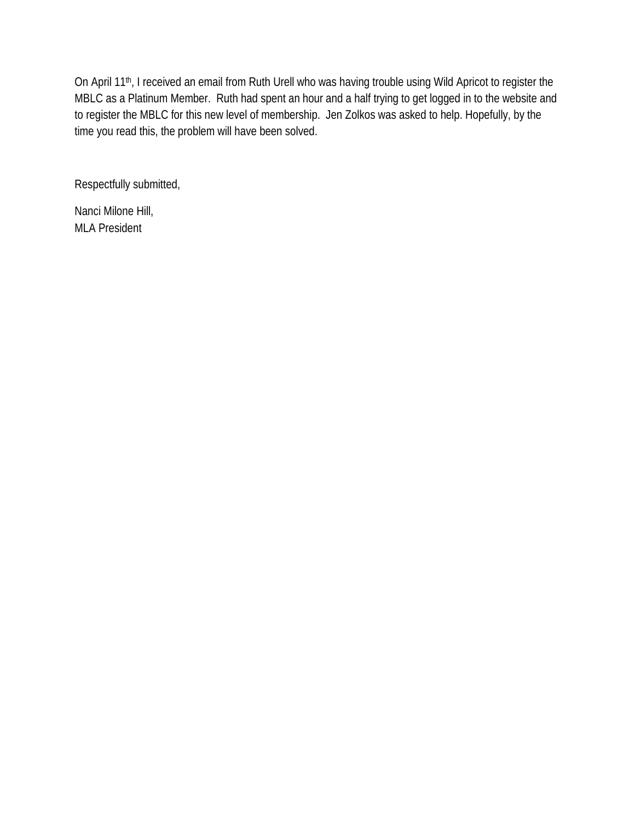On April 11<sup>th</sup>, I received an email from Ruth Urell who was having trouble using Wild Apricot to register the MBLC as a Platinum Member. Ruth had spent an hour and a half trying to get logged in to the website and to register the MBLC for this new level of membership. Jen Zolkos was asked to help. Hopefully, by the time you read this, the problem will have been solved.

Respectfully submitted,

Nanci Milone Hill, MLA President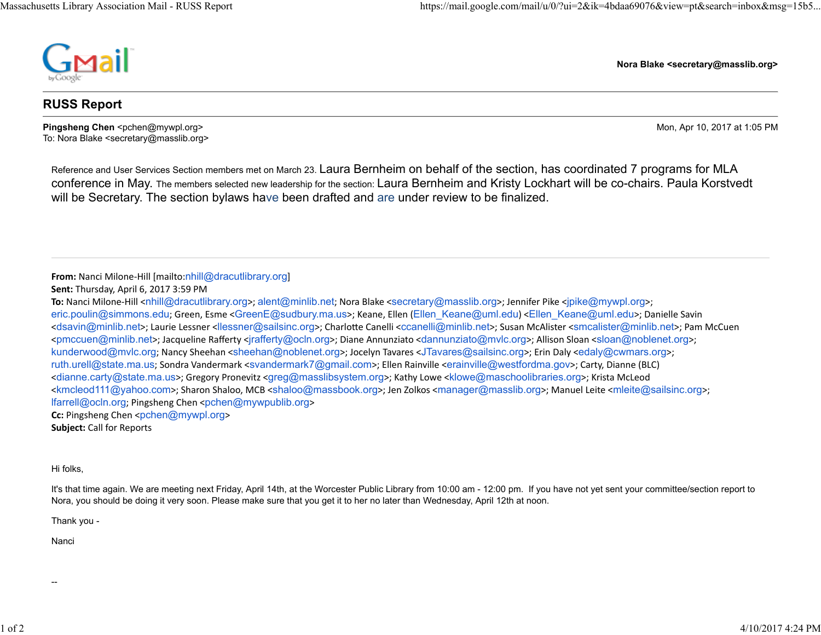

**Nora Blake <secretary@masslib.org>**

### **RUSS Report**

**Pingsheng Chen** <pchen@mywpl.org> Mon, Apr 10, 2017 at 1:05 PM To: Nora Blake <secretary@masslib.org>

Reference and User Services Section members met on March 23. Laura Bernheim on behalf of the section, has coordinated 7 programs for MLA conference in May. The members selected new leadership for the section: Laura Bernheim and Kristy Lockhart will be co-chairs. Paula Korstvedt will be Secretary. The section bylaws have been drafted and are under review to be finalized.

**From:** Nanci Milone‐Hill [mailto:nhill@dracutlibrary.org]

**Subject:** Call for Reports

Hi folks,

It's that time again. We are meeting next Friday, April 14th, at the Worcester Public Library from 10:00 am - 12:00 pm. If you have not yet sent your committee/section report to Nora, you should be doing it very soon. Please make sure that you get it to her no later than Wednesday, April 12th at noon.

Thank you -

Nanci

**Sent:** Thursday, April 6, 2017 3:59 PM

**To:** Nanci Milone‐Hill <nhill@dracutlibrary.org>; alent@minlib.net; Nora Blake <secretary@masslib.org>; Jennifer Pike <jpike@mywpl.org>; eric.poulin@simmons.edu; Green, Esme <GreenE@sudbury.ma.us>; Keane, Ellen (Ellen\_Keane@uml.edu) <Ellen\_Keane@uml.edu>; Danielle Savin <sup>&</sup>lt;dsavin@minlib.net>; Laurie Lessner <llessner@sailsinc.org>; CharloƩe Canelli <ccanelli@minlib.net>; Susan McAlister <smcalister@minlib.net>; Pam McCuen <sup>&</sup>lt;pmccuen@minlib.net>; Jacqueline Rafferty <jrafferty@ocln.org>; Diane Annunziato <dannunziato@mvlc.org>; Allison Sloan <sloan@noblenet.org>; kunderwood@mvlc.org; Nancy Sheehan <sheehan@noblenet.org>; Jocelyn Tavares <JTavares@sailsinc.org>; Erin Daly <edaly@cwmars.org>; ruth.urell@state.ma.us; Sondra Vandermark <svandermark7@gmail.com>; Ellen Rainville <erainville@westfordma.gov>; Carty, Dianne (BLC) <sup>&</sup>lt;dianne.carty@state.ma.us>; Gregory Pronevitz <greg@masslibsystem.org>; Kathy Lowe <klowe@maschoolibraries.org>; Krista McLeod <sup>&</sup>lt;kmcleod111@yahoo.com>; Sharon Shaloo, MCB <shaloo@massbook.org>; Jen Zolkos <manager@masslib.org>; Manuel Leite <mleite@sailsinc.org>; lfarrell@ocln.org; Pingsheng Chen <pchen@mywpublib.org<sup>&</sup>gt; **Cc:** Pingsheng Chen <pchen@mywpl.org>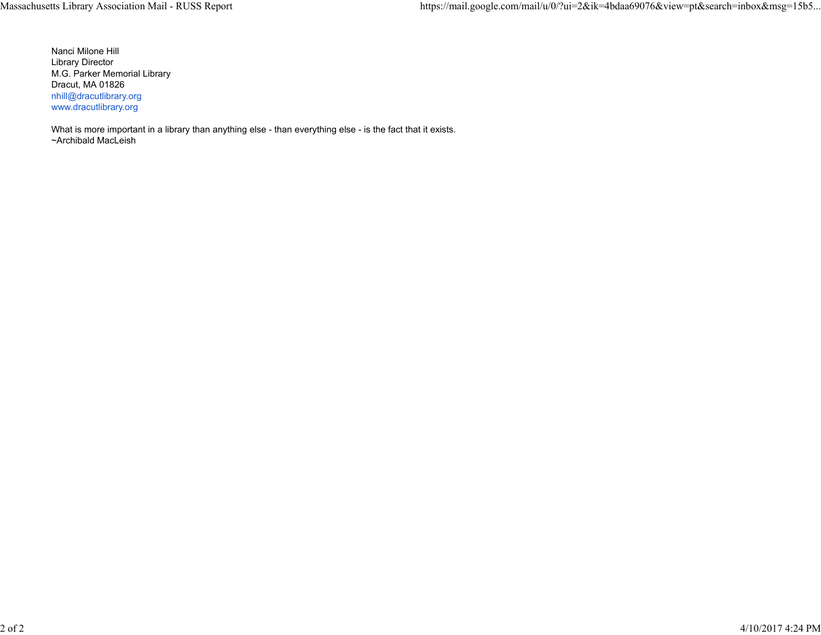Nanci Milone Hill Library Director M.G. Parker Memorial Library Dracut, MA 01826 nhill@dracutlibrary.org www.dracutlibrary.org

What is more important in a library than anything else - than everything else - is the fact that it exists. ~Archibald MacLeish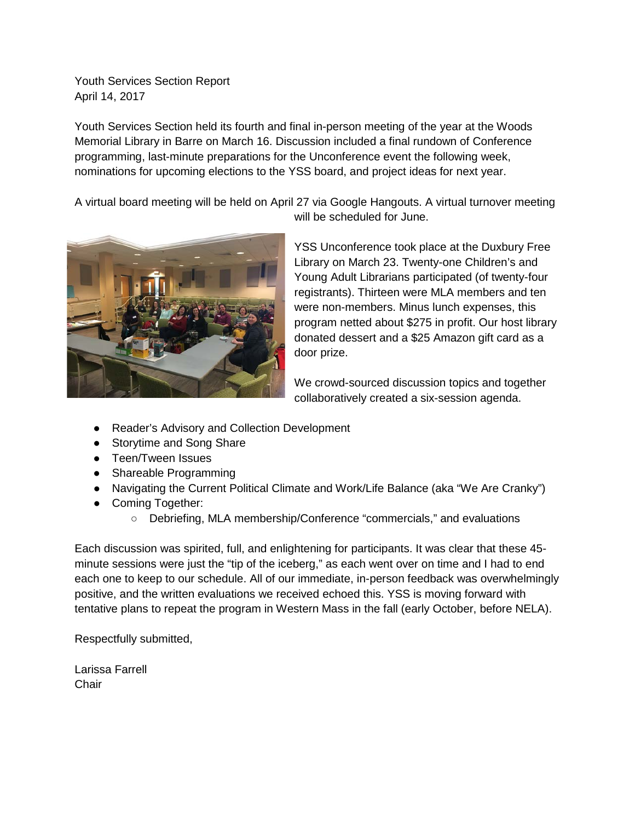Youth Services Section Report April 14, 2017

Youth Services Section held its fourth and final in-person meeting of the year at the Woods Memorial Library in Barre on March 16. Discussion included a final rundown of Conference programming, last-minute preparations for the Unconference event the following week, nominations for upcoming elections to the YSS board, and project ideas for next year.

A virtual board meeting will be held on April 27 via Google Hangouts. A virtual turnover meeting will be scheduled for June.



YSS Unconference took place at the Duxbury Free Library on March 23. Twenty-one Children's and Young Adult Librarians participated (of twenty-four registrants). Thirteen were MLA members and ten were non-members. Minus lunch expenses, this program netted about \$275 in profit. Our host library donated dessert and a \$25 Amazon gift card as a door prize.

We crowd-sourced discussion topics and together collaboratively created a six-session agenda.

- Reader's Advisory and Collection Development
- Storytime and Song Share
- Teen/Tween Issues
- Shareable Programming
- Navigating the Current Political Climate and Work/Life Balance (aka "We Are Cranky")
- Coming Together:
	- Debriefing, MLA membership/Conference "commercials," and evaluations

Each discussion was spirited, full, and enlightening for participants. It was clear that these 45 minute sessions were just the "tip of the iceberg," as each went over on time and I had to end each one to keep to our schedule. All of our immediate, in-person feedback was overwhelmingly positive, and the written evaluations we received echoed this. YSS is moving forward with tentative plans to repeat the program in Western Mass in the fall (early October, before NELA).

Respectfully submitted,

Larissa Farrell Chair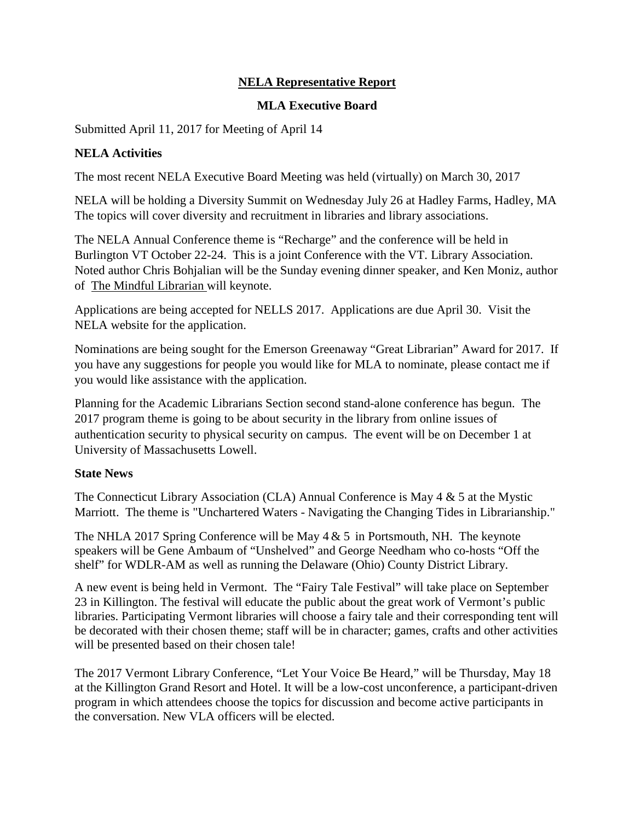### **NELA Representative Report**

### **MLA Executive Board**

Submitted April 11, 2017 for Meeting of April 14

# **NELA Activities**

The most recent NELA Executive Board Meeting was held (virtually) on March 30, 2017

NELA will be holding a Diversity Summit on Wednesday July 26 at Hadley Farms, Hadley, MA The topics will cover diversity and recruitment in libraries and library associations.

The NELA Annual Conference theme is "Recharge" and the conference will be held in Burlington VT October 22-24. This is a joint Conference with the VT. Library Association. Noted author Chris Bohjalian will be the Sunday evening dinner speaker, and Ken Moniz, author of The Mindful Librarian will keynote.

Applications are being accepted for NELLS 2017. Applications are due April 30. Visit the NELA website for the application.

Nominations are being sought for the Emerson Greenaway "Great Librarian" Award for 2017. If you have any suggestions for people you would like for MLA to nominate, please contact me if you would like assistance with the application.

Planning for the Academic Librarians Section second stand-alone conference has begun. The 2017 program theme is going to be about security in the library from online issues of authentication security to physical security on campus. The event will be on December 1 at University of Massachusetts Lowell.

# **State News**

The Connecticut Library Association (CLA) Annual Conference is May 4 & 5 at the Mystic Marriott. The theme is "Unchartered Waters - Navigating the Changing Tides in Librarianship."

The NHLA 2017 Spring Conference will be May  $4 \& 5$  in Portsmouth, NH. The keynote speakers will be Gene Ambaum of "Unshelved" and George Needham who co-hosts "Off the shelf" for WDLR-AM as well as running the Delaware (Ohio) County District Library.

A new event is being held in Vermont. The "Fairy Tale Festival" will take place on September 23 in Killington. The festival will educate the public about the great work of Vermont's public libraries. Participating Vermont libraries will choose a fairy tale and their corresponding tent will be decorated with their chosen theme; staff will be in character; games, crafts and other activities will be presented based on their chosen tale!

The 2017 Vermont Library Conference, "Let Your Voice Be Heard," will be Thursday, May 18 at the Killington Grand Resort and Hotel. It will be a low-cost unconference, a participant-driven program in which attendees choose the topics for discussion and become active participants in the conversation. New VLA officers will be elected.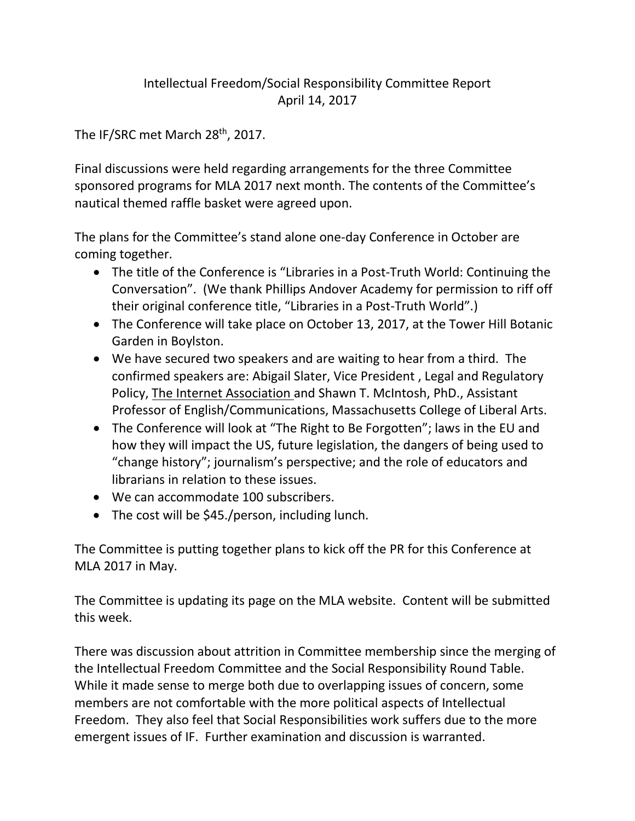# Intellectual Freedom/Social Responsibility Committee Report April 14, 2017

The IF/SRC met March 28<sup>th</sup>, 2017.

Final discussions were held regarding arrangements for the three Committee sponsored programs for MLA 2017 next month. The contents of the Committee's nautical themed raffle basket were agreed upon.

The plans for the Committee's stand alone one-day Conference in October are coming together.

- The title of the Conference is "Libraries in a Post-Truth World: Continuing the Conversation". (We thank Phillips Andover Academy for permission to riff off their original conference title, "Libraries in a Post-Truth World".)
- The Conference will take place on October 13, 2017, at the Tower Hill Botanic Garden in Boylston.
- We have secured two speakers and are waiting to hear from a third. The confirmed speakers are: Abigail Slater, Vice President , Legal and Regulatory Policy, The Internet Association and Shawn T. McIntosh, PhD., Assistant Professor of English/Communications, Massachusetts College of Liberal Arts.
- The Conference will look at "The Right to Be Forgotten"; laws in the EU and how they will impact the US, future legislation, the dangers of being used to "change history"; journalism's perspective; and the role of educators and librarians in relation to these issues.
- We can accommodate 100 subscribers.
- The cost will be \$45./person, including lunch.

The Committee is putting together plans to kick off the PR for this Conference at MLA 2017 in May.

The Committee is updating its page on the MLA website. Content will be submitted this week.

There was discussion about attrition in Committee membership since the merging of the Intellectual Freedom Committee and the Social Responsibility Round Table. While it made sense to merge both due to overlapping issues of concern, some members are not comfortable with the more political aspects of Intellectual Freedom. They also feel that Social Responsibilities work suffers due to the more emergent issues of IF. Further examination and discussion is warranted.